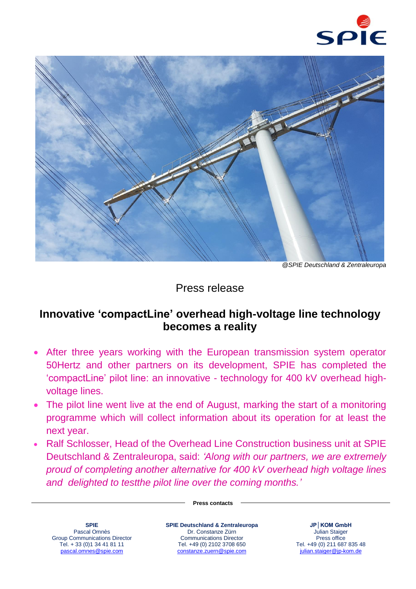



*@SPIE Deutschland & Zentraleuropa*

## Press release

## **Innovative 'compactLine' overhead high-voltage line technology becomes a reality**

- After three years working with the European transmission system operator 50Hertz and other partners on its development, SPIE has completed the 'compactLine' pilot line: an innovative - technology for 400 kV overhead highvoltage lines.
- The pilot line went live at the end of August, marking the start of a monitoring programme which will collect information about its operation for at least the next year.
- Ralf Schlosser, Head of the Overhead Line Construction business unit at SPIE Deutschland & Zentraleuropa, said: *'Along with our partners, we are extremely proud of completing another alternative for 400 kV overhead high voltage lines and delighted to testthe pilot line over the coming months.'*

## **Press contacts**

**SPIE** Pascal Omnès Group Communications Director Tel. + 33 (0)1 34 41 81 11 [pascal.omnes@spie.com](mailto:pascal.omnes@spie.com)

**SPIE Deutschland & Zentraleuropa** Dr. Constanze Zürn Communications Director Tel. +49 (0) 2102 3708 650 [constanze.zuern@spie.com](mailto:constanze.zuern@spie.com)

**JP│KOM GmbH** Julian Staiger Press office Tel. +49 (0) 211 687 835 48 julian.staiger@jp-kom.de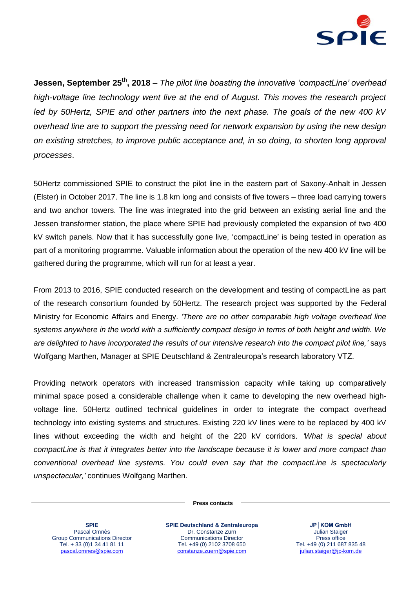

**Jessen, September 25<sup>th</sup>, 2018** – The pilot line boasting the innovative 'compactLine' overhead *high-voltage line technology went live at the end of August. This moves the research project led by 50Hertz, SPIE and other partners into the next phase. The goals of the new 400 kV overhead line are to support the pressing need for network expansion by using the new design on existing stretches, to improve public acceptance and, in so doing, to shorten long approval processes*.

50Hertz commissioned SPIE to construct the pilot line in the eastern part of Saxony-Anhalt in Jessen (Elster) in October 2017. The line is 1.8 km long and consists of five towers – three load carrying towers and two anchor towers. The line was integrated into the grid between an existing aerial line and the Jessen transformer station, the place where SPIE had previously completed the expansion of two 400 kV switch panels. Now that it has successfully gone live, 'compactLine' is being tested in operation as part of a monitoring programme. Valuable information about the operation of the new 400 kV line will be gathered during the programme, which will run for at least a year.

From 2013 to 2016, SPIE conducted research on the development and testing of compactLine as part of the research consortium founded by 50Hertz. The research project was supported by the Federal Ministry for Economic Affairs and Energy. *'There are no other comparable high voltage overhead line systems anywhere in the world with a sufficiently compact design in terms of both height and width. We are delighted to have incorporated the results of our intensive research into the compact pilot line,'* says Wolfgang Marthen, Manager at SPIE Deutschland & Zentraleuropa's research laboratory VTZ.

Providing network operators with increased transmission capacity while taking up comparatively minimal space posed a considerable challenge when it came to developing the new overhead highvoltage line. 50Hertz outlined technical guidelines in order to integrate the compact overhead technology into existing systems and structures. Existing 220 kV lines were to be replaced by 400 kV lines without exceeding the width and height of the 220 kV corridors. *'What is special about compactLine is that it integrates better into the landscape because it is lower and more compact than conventional overhead line systems. You could even say that the compactLine is spectacularly unspectacular,'* continues Wolfgang Marthen.

**Press contacts**

**SPIE** Pascal Omnès Group Communications Director Tel. + 33 (0)1 34 41 81 11 [pascal.omnes@spie.com](mailto:pascal.omnes@spie.com)

**SPIE Deutschland & Zentraleuropa** Dr. Constanze Zürn Communications Director Tel. +49 (0) 2102 3708 650 [constanze.zuern@spie.com](mailto:constanze.zuern@spie.com)

**JP│KOM GmbH** Julian Staiger Press office Tel. +49 (0) 211 687 835 48 julian.staiger@jp-kom.de